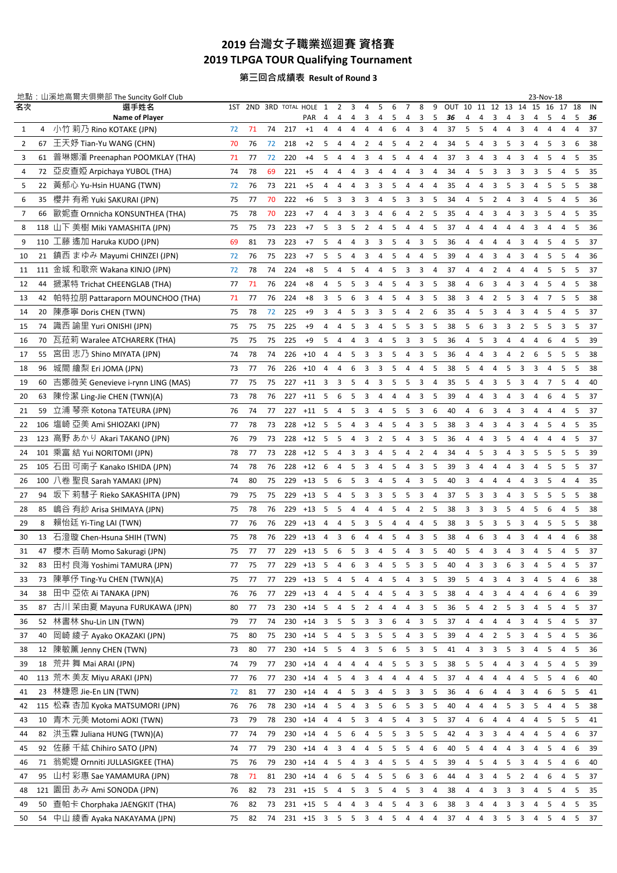# **台灣女子職業巡迴賽 資格賽 2019 TLPGA TOUR Qualifying Tournament**

### **第三回合成績表 Result of Round 3**

|                |     | 地點:山溪地高爾夫俱樂部 The Suncity Golf Club |    |    |    |                        |              |                          |                |        |                         |                |                |                |                         |                |                       |             |                |                |                         |                | 23-Nov-18      |         |                |         |          |
|----------------|-----|------------------------------------|----|----|----|------------------------|--------------|--------------------------|----------------|--------|-------------------------|----------------|----------------|----------------|-------------------------|----------------|-----------------------|-------------|----------------|----------------|-------------------------|----------------|----------------|---------|----------------|---------|----------|
| 名次             |     | 選手姓名<br><b>Name of Player</b>      |    |    |    | 1ST 2ND 3RD TOTAL HOLE | PAR          | 1<br>4                   | 2<br>4         | 3<br>4 | 4<br>3                  | 5<br>4         | 6<br>5         | 7<br>4         | 8<br>3                  | 9<br>5         | OUT 10 11 12 13<br>36 | 4           | 4              | 3              | 4                       | 14<br>3        | 15<br>4        | 16<br>5 | 17<br>4        | 18<br>5 | IN<br>36 |
| 1              | 4   | 小竹 莉乃 Rino KOTAKE (JPN)            | 72 | 71 | 74 | 217                    | $+1$         | 4                        | 4              | 4      | 4                       | 4              | 6              | 4              | 3                       | 4              | 37                    | 5           | 5              | 4              | 4                       | 3              | 4              | 4       | 4              | 4       | 37       |
| $\overline{2}$ | 67  | 王天妤 Tian-Yu WANG (CHN)             | 70 | 76 | 72 | 218                    | $+2$         | 5                        | 4              | 4      | 2                       | 4              | 5              | 4              | $\overline{2}$          | 4              | 34                    | 5           | 4              | 3              | 5                       | 3              | 4              | 5       | 3              | 6       | 38       |
| 3              | 61  | 普琳娜潘 Preenaphan POOMKLAY (THA)     | 71 | 77 | 72 | 220                    | $+4$         | 5                        | 4              | 4      | 3                       | 4              | 5              | 4              | 4                       | 4              | 37                    | 3           | 4              | 3              | 4                       | 3              | 4              | 5       | 4              | 5       | 35       |
| 4              | 72  | 亞皮查婭 Arpichaya YUBOL (THA)         | 74 | 78 | 69 | 221                    | $+5$         | 4                        | 4              | 4      | 3                       | 4              | 4              | 4              | 3                       | $\overline{4}$ | 34                    | 4           | 5              | 3              | 3                       | 3              | 3              | 5       | 4              | 5       | 35       |
| 5              | 22  | 黃郁心 Yu-Hsin HUANG (TWN)            | 72 | 76 | 73 | 221                    | $+5$         | 4                        | 4              | 4      | 3                       | 3              | 5              | 4              | 4                       | $\overline{4}$ | 35                    | 4           | 4              | 3              | -5                      | 3              | 4              | 5       | 5              | 5       | 38       |
| 6              | 35  | 櫻井 有希 Yuki SAKURAI (JPN)           | 75 | 77 | 70 | 222                    | $+6$         | 5                        | 3              | 3      | 3                       | 4              | 5              | 3              | 3                       | 5              | 34                    | 4           | 5              | 2              | 4                       | 3              | 4              | 5       | 4              | 5       | 36       |
| 7              | 66  | 歐妮查 Ornnicha KONSUNTHEA (THA)      | 75 | 78 | 70 | 223                    | $+7$         | 4                        | 4              | 3      | 3                       | 4              | 6              | 4              | 2                       | 5              | 35                    | 4           | 4              | 3              | 4                       | 3              | 3              | 5       | 4              | 5       | 35       |
| 8              | 118 | 山下 美樹 Miki YAMASHITA (JPN)         | 75 | 75 | 73 | 223                    | $+7$         | 5                        | 3              | 5      | 2                       | 4              | 5              | 4              | 4                       | 5              | 37                    | 4           | 4              | 4              | 4                       | 4              | 3              | 4       | 4              | 5       | 36       |
| 9              |     | 110 工藤 遙加 Haruka KUDO (JPN)        | 69 | 81 | 73 | 223                    | $+7$         | 5                        | 4              | 4      | 3                       | 3              | 5              | 4              | 3                       | 5              | 36                    | 4           | 4              | 4              | $\overline{4}$          | 3              | 4              | 5       | 4              | 5       | 37       |
| 10             | 21  | 鎮西 まゆみ Mayumi CHINZEI (JPN)        | 72 | 76 | 75 | 223                    | $+7$         | 5                        | 5              | 4      | 3                       | 4              | 5              | 4              | 4                       | 5              | 39                    | 4           | 4              | 3              | 4                       | 3              | 4              | 5       | 5              | 4       | 36       |
| 11             | 111 | 金城 和歌奈 Wakana KINJO (JPN)          | 72 | 78 | 74 | 224                    | $+8$         | 5                        | 4              | 5      | 4                       | 4              | 5              | 3              | 3                       | 4              | 37                    | 4           | 4              | 2              | 4                       | 4              | 4              | 5       | 5              | 5       | 37       |
| 12             | 44  | 搋潔特 Trichat CHEENGLAB (THA)        | 77 | 71 | 76 | 224                    | $+8$         | 4                        | 5              | 5      | 3                       | 4              | 5              | 4              | 3                       | 5              | 38                    | 4           | 6              | 3              | 4                       | 3              | $\overline{4}$ | 5       | 4              | 5       | 38       |
| 13             | 42  | 帕特拉朋 Pattaraporn MOUNCHOO (THA)    | 71 | 77 | 76 | 224                    | $+8$         | 3                        | 5              | 6      | 3                       | 4              | 5              | 4              | 3                       | 5              | 38                    | 3           | 4              | 2              | -5                      | 3              | 4              | 7       | 5              | 5       | 38       |
| 14             | 20  | 陳彥寧 Doris CHEN (TWN)               | 75 | 78 | 72 | 225                    | $+9$         | 3                        | 4              | 5      | 3                       | 3              | 5              | 4              | 2                       | 6              | 35                    | 4           | 5              | 3              | 4                       | 3              | 4              | 5       | 4              | 5       | 37       |
| 15             |     | 74 識西 諭里 Yuri ONISHI (JPN)         | 75 | 75 | 75 | 225                    | $+9$         | 4                        | 4              | 5      | 3                       | 4              | 5              | 5              | 3                       | 5              | 38                    | 5           | 6              | 3              | 3                       | 2              | 5              | 5       | 3              | 5       | 37       |
| 16             | 70  | 瓦菈莉 Waralee ATCHARERK (THA)        | 75 | 75 | 75 | 225                    | $+9$         | 5                        | 4              | 4      | 3                       | 4              | 5              | 3              | 3                       | 5              | 36                    | 4           | 5              | 3              | 4                       | 4              | 4              | 6       | 4              | 5       | 39       |
| 17             | 55  | 宮田 志乃 Shino MIYATA (JPN)           | 74 | 78 | 74 | 226                    | $+10$        | 4                        | 4              | 5      | 3                       | 3              | 5              | 4              | 3                       | 5              | 36                    | 4           | 4              | 3              | 4                       | $\overline{2}$ | 6              | 5       | 5              | 5       | 38       |
| 18             | 96  | 城間 繪梨 Eri JOMA (JPN)               | 73 | 77 | 76 | 226                    | $+10$        | 4                        | 4              | 6      | 3                       | 3              | 5              | 4              | 4                       | 5              | 38                    | 5           | 4              | 4              | 5                       | 3              | 3              | 4       | 5              | 5       | 38       |
| 19             | 60  | 吉娜薇芙 Genevieve i-rynn LING (MAS)   | 77 | 75 | 75 | 227                    | $+11$        | 3                        | 3              | 5      | 4                       | 3              | 5              | 5              | 3                       | $\overline{4}$ | 35                    | 5           | 4              | 3              | 5                       | 3              | 4              | 7       | 5              | 4       | 40       |
| 20             | 63  | 陳伶潔 Ling-Jie CHEN (TWN)(A)         | 73 | 78 | 76 | 227                    | $+11$        | -5                       | 6              | 5      | 3                       | 4              | 4              | 4              | 3                       | 5              | 39                    | 4           | 4              | 3              | 4                       | 3              | 4              | 6       | 4              | 5       | 37       |
| 21             | 59  | 立浦 琴奈 Kotona TATEURA (JPN)         | 76 | 74 | 77 | 227                    | $+11$        | 5                        | 4              | 5      | 3                       | 4              | 5              | 5              | 3                       | 6              | 40                    | 4           | 6              | 3              | 4                       | 3              | 4              | 4       | 4              | 5       | 37       |
| 22             |     | 106 塩崎 亞美 Ami SHIOZAKI (JPN)       | 77 | 78 | 73 | 228                    | $+12$        | -5                       | 5              | 4      | 3                       | 4              | 5              | 4              | 3                       | 5              | 38                    | 3           | 4              | 3              | 4                       | 3              | 4              | 5       | 4              | 5       | 35       |
| 23             | 123 | 高野 あかり Akari TAKANO (JPN)          | 76 | 79 | 73 | 228                    | $+12$        | -5                       | 5              | 4      | 3                       | 2              | 5              | 4              | 3                       | 5              | 36                    | 4           | 4              | 3              | 5                       | 4              | 4              | 4       | 4              | 5       | 37       |
| 24             |     | 101 乘富 結 Yui NORITOMI (JPN)        | 78 | 77 | 73 | 228                    | $+12$        | -5                       | 4              | 3      | 3                       | 4              | 5              | 4              | 2                       | 4              | 34                    | 4           | 5              | 3              | 4                       | 3              | 5              | 5       | 5              | 5       | 39       |
| 25             | 105 | 石田 可南子 Kanako ISHIDA (JPN)         | 74 | 78 | 76 | 228                    | $+12$        | 6                        | 4              | 5      | 3                       | 4              | 5              | 4              | 3                       | 5              | 39                    | 3           | 4              | 4              | 4                       | 3              | 4              | 5       | 5              | 5       | 37       |
| 26             |     | 100 八卷 聖良 Sarah YAMAKI (JPN)       | 74 | 80 | 75 | 229                    | $+13$        | - 5                      | 6              | 5      | 3                       | 4              | 5              | 4              | 3                       | 5              | 40                    | 3           | 4              | 4              | 4                       | 4              | 3              | 5       | 4              | 4       | 35       |
| 27             | 94  | 坂下 莉彗子 Rieko SAKASHITA (JPN)       | 79 | 75 | 75 | 229                    | $+13$        | 5                        | 4              | 5      | 3                       | 3              | 5              | 5              | 3                       | $\overline{4}$ | 37                    | 5           | 3              | 3              | 4                       | 3              | 5              | 5       | 5              | 5       | 38       |
| 28             | 85  | 嶋谷 有紗 Arisa SHIMAYA (JPN)          | 75 | 78 | 76 | 229                    | $+13$        | -5                       | 5              | 4      | 4                       | 4              | 5              | 4              | 2                       | 5              | 38                    | 3           | 3              | 3              | -5                      | 4              | 5              | 6       | $\overline{4}$ | 5       | 38       |
| 29             | 8   | 賴怡廷 Yi-Ting LAI (TWN)              | 77 | 76 | 76 | 229                    | $+13$        | 4                        | 4              | 5      | 3                       | 5              | 4              | 4              | 4                       | 5              | 38                    | 3           | 5              | 3              | 5                       | 3              | 4              | 5       | 5              | 5       | 38       |
| 30             | 13  | 石澄璇 Chen-Hsuna SHIH (TWN)          | 75 | 78 | 76 | 229                    | $+13$        | 4                        | 3              | 6      | 4                       | 4              | 5              | 4              | 3                       | 5              | 38                    | 4           | 6              | 3              | 4                       | 3              | 4              | 4       | 4              | 6       | 38       |
| 31             | 47  | 櫻木 百萌 Momo Sakuragi (JPN)          | 75 | 77 | 77 | 229                    | $+13$        | 5                        | 6              | 5      | 3                       | 4              | 5              | 4              | 3                       | 5              | 40                    | 5           | $\overline{4}$ | 3              | $\overline{4}$          | 3              | 4              | 5       | $\overline{4}$ | 5       | 37       |
| 32             | 83  | 田村 良海 Yoshimi TAMURA (JPN)         | 77 | 75 | 77 | 229                    | $+13$        | - 5                      | 4              | 6      | 3                       | 4              | 5              | 5              | 3                       | 5              | 40                    | 4           | 3              | 3              | 6                       | 3              | 4              | 5       | 4              | 5       | 37       |
| 33             | 73  | 陳葶伃 Ting-Yu CHEN (TWN)(A)          | 75 | 77 | 77 | 229                    | $+13$        | 5                        | 4              | 5      | 4                       | 4              | 5              |                | 3                       | 5              | 39                    | 5           | 4              | З              | 4                       | 3              | 4              | 5       | 4              | 6       | 38       |
| 34             | 38  | 田中 亞依 Ai TANAKA (JPN)              | 76 | 76 | 77 | 229                    | $+13$        | 4                        | 4              | 5      | 4                       | 4              | 5              | 4              | 3                       | 5              | 38                    | 4           | 4              | 3              | 4                       | 4              | 4              | 6       | 4              | 6       | 39       |
| 35             | 87  | 古川 茉由夏 Mayuna FURUKAWA (JPN)       | 80 | 77 | 73 | 230                    | $+14$        | 5                        | 4              | 5      | $\overline{2}$          | 4              | 4              | 4              | 3                       | 5              | 36                    | 5           | 4              | $\overline{2}$ | 5                       | 3              | 4              | 5       | 4              | 5       | 37       |
| 36             | 52  | 林書林 Shu-Lin LIN (TWN)              | 79 | 77 | 74 | 230                    | $+14$        | $\overline{\mathbf{3}}$  | 5              | 5      | 3                       | 3              | 6              | 4              | 3                       | 5              | 37                    | 4           | 4              | 4              | 4                       | 3              | 4              | 5       | 4              | 5       | 37       |
| 37             | 40  | 岡崎 綾子 Ayako OKAZAKI (JPN)          | 75 | 80 | 75 | 230                    | $+14$ 5      |                          | 4              | 5      | 3                       | 5              | 5              | 4              | 3                       | 5              | 39                    | 4           | 4              | $\overline{2}$ | 5                       | 3              | 4              | 5       | 4              | 5       | 36       |
| 38             | 12  | 陳敏薰 Jenny CHEN (TWN)               | 73 | 80 | 77 |                        | 230 +14 5    |                          | 5              | 4      | $\overline{3}$          | 5              | 6              | 5              | $\overline{3}$          | 5              | 41                    | $4 \quad 3$ |                | 3              | 5                       | 3              | 4              | 5       | 4              | 5       | 36       |
| 39             |     | 18 荒井 舞 Mai ARAI (JPN)             | 74 | 79 | 77 | 230                    | $+14$        | $\overline{4}$           | 4              | 4      | 4                       | 4              | 5              | 5              | 3                       | 5              | 38                    | 5           | 5              | 4              | $\overline{4}$          | 3              | 4              | 5       | 4              | 5       | 39       |
| 40             |     | 113 荒木 美友 Miyu ARAKI (JPN)         | 77 | 76 | 77 | 230                    | $+14$        | 4                        | 5              | 4      | 3                       | 4              | 4              | 4              | 4                       | 5              | 37                    | 4           | 4              | 4              | $\overline{4}$          | 4              | 5              | 5       | 4              | 6       | 40       |
| 41             | 23  | 林婕恩 Jie-En LIN (TWN)               | 72 | 81 | 77 | 230                    | $+14$        | 4                        | 4              | 5      | 3                       | 4              | 5              | 3              | 3                       | 5              | 36                    | 4           | 6              | 4              | 4                       | 3              | 4              | 6       | 5              | 5       | 41       |
| 42             | 115 | 松森 杏加 Kyoka MATSUMORI (JPN)        | 76 | 76 | 78 | 230                    | $+14$        | $\overline{4}$           | 5              | 4      | $\overline{\mathbf{3}}$ | 5              | 6              | 5              | $\overline{\mathbf{3}}$ | 5              | 40                    | 4           | 4              | 4              | 5                       | 3              | 5              | 4       | 4              | 5       | 38       |
| 43             | 10  | 青木 元美 Motomi AOKI (TWN)            | 73 | 79 | 78 | 230                    | $+14$ 4      |                          | 4              | 5      | 3                       | 4              | 5              | 4              | 3                       | 5              | 37                    | 4           | 6              | 4              | 4                       | 4              | 4              | 5       | 5              | 5       | 41       |
| 44             | 82  | 洪玉霖 Juliana HUNG (TWN)(A)          | 77 | 74 | 79 | 230                    | $+14$        | 4                        | 5              | 6      | 4                       | 5              | 5              | 3              | 5                       | 5              | 42                    | 4           | 3              | 3              | 4                       | 4              | 4              | 5       | 4              | 6       | 37       |
| 45             | 92  | 佐藤 千紘 Chihiro SATO (JPN)           | 74 | 77 | 79 | 230                    | $+14$        | 4                        | 3              | 4      | 4                       | 5              | 5              | 5              | 4                       | 6              | 40                    | 5           | 4              | 4              | 4                       | 3              | 4              | 5       | 4              | 6       | 39       |
| 46             | 71  | 翁妮媞 Ornniti JULLASIGKEE (THA)      | 75 | 76 | 79 | 230                    | $+14$        | 4                        | 5              | 4      | 3                       | 4              | 5              | 5              | 4                       | 5              | 39                    | 4           | 5              | 4              | 5                       | 3              | 4              | 5       | 4              | 6       | 40       |
| 47             | 95  | 山村 彩惠 Sae YAMAMURA (JPN)           | 78 | 71 | 81 | 230                    | $+14$        | $\overline{4}$           | 6              | 5      | 4                       | 5              | 5              | 6              | 3                       | 6              | 44                    | 4           | 3              | 4              | -5                      | $\overline{2}$ | 4              | 6       | 4              | 5       | 37       |
| 48             |     | 121 園田 あみ Ami SONODA (JPN)         | 76 | 82 | 73 |                        | $231 + 15$   | $\overline{\phantom{0}}$ | 4              | 5      | 3                       | 5              | 4              | 5              | 3                       | 4              | 38                    | 4           | 4              | 3              | 3                       | 3              | 4              | 5       | 4              | 5       | 35       |
| 49             |     | 50 查帕卡 Chorphaka JAENGKIT (THA)    | 76 | 82 | 73 |                        | 231 +15 5    |                          | 4              | 4      | 3                       | 4              | 5              | 4              | 3                       | 6              | 38                    | 3           | 4              | 4              | $\overline{\mathbf{3}}$ | 3              | 4              | 5       | 4              | -5      | 35       |
| 50             | 54  | 中山 綾香 Ayaka NAKAYAMA (JPN)         | 75 | 82 | 74 |                        | $231 + 15$ 3 |                          | 5 <sub>5</sub> | 5      | 3 <sup>7</sup>          | $\overline{4}$ | 5 <sub>5</sub> | $\overline{4}$ | $\overline{4}$          | 4              | 37                    | 4           | $\overline{4}$ |                | 3 <sub>5</sub>          | $\mathbf{3}$   | 4              | 5       | 4              | 5       | 37       |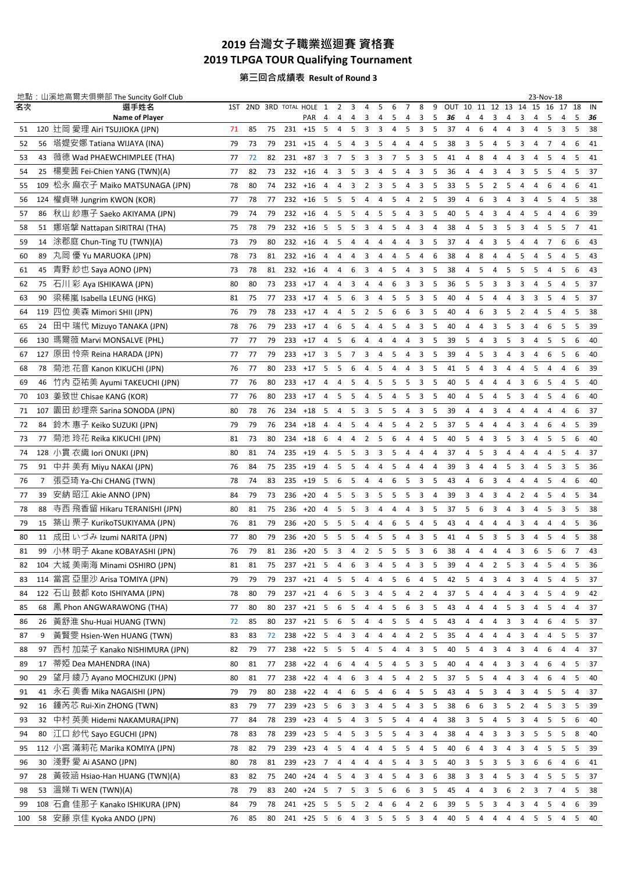# **台灣女子職業巡迴賽 資格賽 2019 TLPGA TOUR Qualifying Tournament**

### **第三回合成績表 Result of Round 3**

|          |                | 地點:山溪地高爾夫俱樂部 The Suncity Golf Club                     |          |          |          |                        |                          |                          |        |                               |                |                     |                |                |                                |        |                       |                     |                |                |                         |                     | 23-Nov-18 |         |         |                |          |
|----------|----------------|--------------------------------------------------------|----------|----------|----------|------------------------|--------------------------|--------------------------|--------|-------------------------------|----------------|---------------------|----------------|----------------|--------------------------------|--------|-----------------------|---------------------|----------------|----------------|-------------------------|---------------------|-----------|---------|---------|----------------|----------|
| 名次       |                | 選手姓名<br><b>Name of Player</b>                          |          |          |          | 1ST 2ND 3RD TOTAL HOLE | <b>PAR</b>               | 1<br>4                   | 2<br>4 | 3<br>4                        | 4<br>3         | 5<br>4              | 6<br>5         | 7<br>4         | 8<br>3                         | 9<br>5 | OUT 10 11 12 13<br>36 | 4                   | 4              | 3              | 4                       | 14<br>3             | 15<br>4   | 16<br>5 | 17<br>4 | 18<br>5        | IN<br>36 |
| 51       |                | 120 辻岡 愛理 Airi TSUJIOKA (JPN)                          | 71       | 85       | 75       | 231                    | $+15$                    | -5                       | 4      | 5                             | 3              | 3                   | 4              | 5              | 3                              | 5      | 37                    | 4                   | 6              | 4              | 4                       | 3                   | 4         | 5       | 3       | 5              | 38       |
| 52       | 56             | 塔媞安娜 Tatiana WIJAYA (INA)                              | 79       | 73       | 79       | 231                    | +15                      | 4                        | 5      |                               | 3              | 5                   | 4              | 4              | 4                              | 5      | 38                    | 3                   | 5              | 4              | 5                       | 3                   | 4         | 7       | 4       | 6              | 41       |
| 53       | 43             | 薇徳 Wad PHAEWCHIMPLEE (THA)                             | 77       | 72       | 82       | 231                    | $+87$                    | 3                        | 7      | 5                             | 3              | 3                   | 7              | 5              | 3                              | -5     | 41                    | 4                   | 8              | 4              | 4                       | 3                   | 4         | 5       | 4       | 5              | 41       |
| 54       | 25             | 楊斐茜 Fei-Chien YANG (TWN)(A)                            | 77       | 82       | 73       | 232                    | $+16$                    | 4                        | 3      | 5                             | 3              | 4                   | 5              | 4              | 3                              | 5      | 36                    | 4                   | 4              | 3              | 4                       | 3                   | 5         | 5       | 4       | 5              | 37       |
| 55       | 109            | 松永 麻衣子 Maiko MATSUNAGA (JPN)                           | 78       | 80       | 74       | 232                    | $+16$                    | $\overline{4}$           | 4      | 3                             | 2              | 3                   | 5              | 4              | 3                              | 5      | 33                    | 5                   | 5              | 2              | 5                       | $\overline{4}$      | 4         | 6       | 4       | 6              | 41       |
| 56       | 124            | 權貞琳 Jungrim KWON (KOR)                                 | 77       | 78       | 77       | 232                    | $+16$                    | -5                       | 5      | 5                             | 4              | 4                   | 5              | 4              | 2                              | 5      | 39                    | 4                   | 6              | 3              | 4                       | 3                   | 4         | 5       | 4       | -5             | 38       |
| 57       | 86             | 秋山 紗惠子 Saeko AKIYAMA (JPN)                             | 79       | 74       | 79       | 232                    | $+16$                    | 4                        | 5      | 5                             | 4              | 5                   | 5              | 4              | 3                              | 5      | 40                    | 5                   | 4              | 3              | 4                       | 4                   | 5         | 4       | 4       | 6              | 39       |
| 58       | 51             | 娜塔擊 Nattapan SIRITRAI (THA)                            | 75       | 78       | 79       | 232                    | $+16$                    | -5                       | 5      | 5                             | 3              | 4                   | 5              | 4              | 3                              | 4      | 38                    | 4                   | 5              | 3              | 5                       | 3                   | 4         | 5       | 5       | $\overline{7}$ | 41       |
| 59       | 14             | 涂郡庭 Chun-Ting TU (TWN)(A)                              | 73       | 79       | 80       | 232                    | $+16$                    | $\overline{4}$           | 5      | 4                             | 4              | 4                   | 4              | 4              | 3                              | 5      | 37                    | 4                   | $\overline{4}$ | 3              | 5                       | 4                   | 4         | 7       | 6       | 6              | 43       |
| 60       | 89             | 九岡 優 Yu MARUOKA (JPN)                                  | 78       | 73       | 81       | 232                    | $+16$                    | 4                        | 4      | 4                             | 3              | 4                   | 4              | 5              | 4                              | 6      | 38                    | 4                   | 8              | 4              | 4                       | 5                   | 4         | 5       | 4       | 5              | 43       |
| 61       | 45             | 青野 紗也 Saya AONO (JPN)                                  | 73       | 78       | 81       | 232                    | $+16$                    | 4                        | 4      | 6                             | 3              | 4                   | 5              | 4              | 3                              | 5      | 38                    | 4                   | 5              | 4              | -5                      | 5                   | 5         | 4       | 5       | 6              | 43       |
| 62       | 75             | 石川彩 Aya ISHIKAWA (JPN)                                 | 80       | 80       | 73       | 233                    | $+17$                    | 4                        | 4      | 3                             | 4              | 4                   | 6              | 3              | 3                              | 5      | 36                    | 5                   | 5              | 3              | 3                       | 3                   | 4         | 5       | 4       | 5              | 37       |
| 63       | 90             | 梁稀嵐 Isabella LEUNG (HKG)                               | 81       | 75       | 77       | 233                    | $+17$                    | 4                        | 5      | 6                             | 3              | 4                   | 5              | 5              | 3                              | 5      | 40                    | 4                   | 5              | 4              | 4                       | 3                   | 3         | 5       | 4       | 5              | 37       |
| 64       | 119            | 四位 美森 Mimori SHII (JPN)                                | 76       | 79       | 78       | 233                    | $+17$                    | 4                        | 4      | 5                             | 2              | -5                  | 6              | 6              | 3                              | 5      | 40                    | 4                   | 6              | 3              | 5                       | 2                   | 4         | 5       | 4       | -5             | 38       |
| 65       | 24             | 田中 瑞代 Mizuyo TANAKA (JPN)                              | 78       | 76       | 79       | 233                    | $+17$                    | 4                        | 6      | 5                             | 4              | 4                   | 5              | 4              | 3                              | 5      | 40                    | 4                   | 4              | 3              | 5                       | 3                   | 4         | 6       | 5       | 5              | 39       |
| 66       | 130            | 瑪爾薇 Marvi MONSALVE (PHL)                               | 77       | 77       | 79       | 233                    | $+17$                    | $\overline{4}$           | 5      | 6                             | 4              | 4                   | 4              | 4              | 3                              | 5      | 39                    | 5                   | 4              | 3              | 5                       | 3                   | 4         | 5       | 5       | 6              | 40       |
| 67       |                | 127 原田 怜奈 Reina HARADA (JPN)                           | 77       | 77       | 79       | 233                    | $+17$                    | 3                        | 5      | $\overline{7}$                | 3              | 4                   | 5              | 4              | 3                              | 5      | 39                    | 4                   | 5              | 3              | 4                       | 3                   | 4         | 6       | 5       | 6              | 40       |
| 68       | 78             | 菊池 花音 Kanon KIKUCHI (JPN)                              | 76       | 77       | 80       | 233                    | $+17$                    | -5                       | 5      | 6                             | $\overline{4}$ | 5                   | 4              | 4              | 3                              | 5      | 41                    | 5                   | 4              | 3              | 4                       | 4                   | 5         | 4       | 4       | 6              | 39       |
| 69       | 46             | 竹内 亞祐美 Ayumi TAKEUCHI (JPN)                            | 77       | 76       | 80       | 233                    | $+17$                    | 4                        | 4      | 5                             | 4              | 5                   | 5              | 5              | 3                              | 5      | 40                    | 5                   | 4              | 4              | 4                       | 3                   | 6         | 5       | 4       | 5              | 40       |
| 70       | 103            | 姜致世 Chisae KANG (KOR)                                  | 77       | 76       | 80       | 233                    | $+17$                    | 4                        | 5      | 5                             | 4              | 5                   | 4              | 5              | 3                              | 5      | 40                    | 4                   | 5              | 4              | 5                       | 3                   | 4         | 5       | 4       | 6              | 40       |
| 71       | 107            | 園田 紗理奈 Sarina SONODA (JPN)                             | 80       | 78       | 76       | 234                    | $+18$                    | -5                       | 4      | 5                             | 3              | 5                   | 5              | $\overline{4}$ | 3                              | 5      | 39                    | 4                   | 4              | 3              | 4                       | 4                   | 4         | 4       | 4       | 6              | 37       |
| 72       | 84             | 鈴木 惠子 Keiko SUZUKI (JPN)                               | 79       | 79       | 76       | 234                    | $+18$                    | 4                        | 4      | 5                             | 4              | 4                   | 5              | 4              | $\overline{2}$                 | 5      | 37                    | 5                   | 4              | 4              | 4                       | 3                   | 4         | 6       | 4       | 5              | 39       |
| 73       | 77             | 菊池 玲花 Reika KIKUCHI (JPN)                              | 81       | 73       | 80       | 234                    | $+18$                    | 6                        | 4      | 4                             | 2              | 5                   | 6              | 4              | 4                              | 5      | 40                    | 5                   | 4              | 3              | 5                       | 3                   | 4         | 5       | 5       | 6              | 40       |
| 74       |                | 128 小貫 衣織 lori ONUKI (JPN)                             | 80       | 81       | 74       | 235                    | $+19$                    | 4                        | 5      | 5                             | 3              | 3                   | 5              | 4              | 4                              | 4      | 37                    | 4                   | 5              | 3              | 4                       | 4                   | 4         | 4       | 5       | 4              | 37       |
| 75       | 91             | 中井 美有 Miyu NAKAI (JPN)                                 | 76       | 84       | 75       | 235                    | $+19$                    | 4                        | 5      | 5                             | 4              | 4                   | 5              | 4              | 4                              | 4      | 39                    | 3                   | 4              | 4              | 5                       | 3                   | 4         | 5       | 3       | 5              | 36       |
| 76       | $\overline{7}$ | 張亞琦 Ya-Chi CHANG (TWN)                                 | 78       | 74       | 83       | 235                    | $+19$                    | -5                       | 6      | 5                             | $\overline{4}$ | 4                   | 6              | 5              | 3                              | 5      | 43                    | 4                   | 6              | 3              | 4                       | 4                   | 4         | 5       | 4       | 6              | 40       |
| 77       | 39             | 安納 昭江 Akie ANNO (JPN)                                  | 84       | 79       | 73       | 236                    | $+20$                    | 4                        | 5      | 5                             | 3              | 5                   | 5              | 5              | 3                              | 4      | 39                    | 3                   | 4              | 3              | 4                       | $\overline{2}$      | 4         | 5       | 4       | 5              | 34       |
| 78       | 88             | 寺西 飛香留 Hikaru TERANISHI (JPN)                          | 80       | 81       | 75       | 236                    | $+20$                    | 4                        | 5      | 5                             | 3              | 4                   | 4              | 4              | 3                              | 5      | 37                    | 5                   | 6              | 3              | 4                       | 3                   | 4         | 5       | 3       | 5              | 38       |
|          | 15             | 築山 栗子 KurikoTSUKIYAMA (JPN)                            |          |          |          |                        |                          | -5                       | 5      |                               | 4              |                     |                | 5              |                                | 5      |                       |                     | 4              |                | 4                       |                     | 4         | 4       | 4       | 5              |          |
| 79       |                | 11 成田 いづみ Izumi NARITA (JPN)                           | 76       | 81       | 79<br>79 | 236                    | $+20$<br>$+20$           | -5                       | 5      | 5<br>5                        | 4              | 4<br>5              | 6<br>5         | 4              | 4<br>3                         | 5      | 43<br>41              | 4<br>4              | 5              | 4<br>3         | 5                       | 3                   | 4         | 5       | 4       | 5              | 36<br>38 |
| 80       | 99             | 小林 明子 Akane KOBAYASHI (JPN)                            | 77       | 80       | 81       | 236                    |                          |                          |        | 4                             | $\overline{2}$ | 5                   |                | 5              |                                | 6      |                       |                     | 4              | 4              |                         | 3                   |           |         | 6       | $\overline{7}$ |          |
| 81       |                | 104 大城 美南海 Minami OSHIRO (JPN)                         | 76       | 79       |          | 236                    | $+20$                    | -5                       | 3      |                               |                |                     | 5              |                | 3                              |        | 38                    | 4                   |                |                | 4                       | 3                   | 6         | 5       |         |                | 43       |
| 82       |                | 114 當宮 亞里沙 Arisa TOMIYA (JPN)                          | 81       | 81       | 75       | 237                    | $237 +21$ 5              |                          | 4      | 6                             | 3              | 4                   | 5              | 4              | 3                              | 5      | 39                    | 4                   | 4              | 2              | -5                      | 3                   | 4         | 5       | 4       | 5              | 36       |
| 83       |                | 122 石山 鼓都 Koto ISHIYAMA (JPN)                          | 79       | 79       | 79       |                        | $+21$                    | 4                        | 5      | 5                             | 4              | 4                   | 5              | 6              | 4                              | 5      | 42                    | 5                   | 4              | 3              | 4                       | 3                   | 4         | 5       | 4       | 5              | 37       |
| 84       | 68             | 鳳 Phon ANGWARAWONG (THA)                               | 78<br>77 | 80<br>80 | 79<br>80 |                        | 237 +21 4<br>$237 +21$ 5 |                          | 6<br>6 | 5<br>5                        | 3<br>4         | 4                   | 5              | 4              | $\overline{2}$<br>3            | 4<br>5 | 37                    | 5<br>4              | 4<br>4         | 4              | 4<br>5                  | 3                   | 4         | 5       | 4       | 9<br>4         | 42<br>37 |
| 85       | 26             | 黃舒淮 Shu-Huai HUANG (TWN)                               |          |          | 80       | 237                    | $+21$ 5                  |                          | 6      | 5                             |                | 4                   | 5              | 6              |                                | 5      | 43<br>43              | 4                   | 4              | 4<br>4         | $\overline{\mathbf{3}}$ | 3                   | 4<br>4    | 5<br>6  | 4<br>4  | 5              | 37       |
| 86       | 9              | 黃賢雯 Hsien-Wen HUANG (TWN)                              | 72       | 85       | 72       | 238                    | $+22$ 5                  |                          |        | 3                             | 4<br>4         | 4                   | 5<br>4         | 5              | 4                              | 5      | 35                    |                     | 4              |                |                         | 3                   |           | 4       |         | 5              |          |
| 87<br>88 | 97             | 西村 加菜子 Kanako NISHIMURA (JPN)                          | 83<br>82 | 83<br>79 | 77       | 238                    | $+22$ 5                  |                          | 4<br>5 | 5                             | $\overline{4}$ | 4<br>5              | 4              | 4<br>4         | $\overline{2}$<br>$\mathbf{3}$ | 5      | 40                    | 4<br>5              | 4              | 4<br>3         | 4<br>4                  | 3<br>3              | 4<br>4    | 6       | 5<br>4  | 4              | 37<br>37 |
|          | 17             | 蒂婭 Dea MAHENDRA (INA)                                  |          |          |          | 238                    | $+22$ 4                  |                          |        |                               |                |                     |                |                |                                |        |                       |                     |                |                |                         |                     |           |         |         |                |          |
| 89       |                | 望月 綾乃 Ayano MOCHIZUKI (JPN)                            | 80       | 81       | 77       |                        |                          |                          | 6      | 4                             | 4              | 5                   | 4              | 5              | 3                              | 5      | 40                    | 4                   | 4              | 4              | 3                       | 3                   | 4         | 6       | 4       | 5              | 37       |
| 90       | 29             |                                                        | 80       | 81       | 77       | 238                    | $+22$ 4                  |                          | 4      | 6                             | 3              | 4                   | 5              | 4              | $\overline{2}$                 | 5      | 37                    | 5                   | 5              | 4              | 4                       | 3                   | 4         | 6       | 4       | 5              | 40       |
| 91       | 41             | 永石 美香 Mika NAGAISHI (JPN)<br>鍾芮芯 Rui-Xin ZHONG (TWN)   | 79       | 79       | 80       | 238                    | $+22$ 4<br>$+23$ 5       |                          | 4      | 6                             | 5              | 4                   | 6              | 4              | 5                              | 5      | 43                    | 4                   | 5              | 3              | 4                       | 3                   | 4         | 5       | 5       | 4              | 37       |
| 92       | 16             |                                                        | 83       | 79       | 77       | 239                    |                          |                          | 6      | 3                             | 3              | 4                   | 5              | 4              | 3                              | 5      | 38                    | 6                   | 6              | 3              | 5                       | $\overline{2}$      | 4         | 5       | 3       | 5              | 39       |
| 93       | 32             | 中村 英美 Hidemi NAKAMURA(JPN)                             | 77       | 84       | 78       | 239                    | $+23$ 4                  |                          | 5      | 4                             | 3              | 5                   | 5              | 4              | 4                              | 4      | 38                    | 3                   | 5              | 4              | 5                       | 3                   | 4         | 5       | 5       | 6              | 40       |
| 94       | 80             | 江口 紗代 Sayo EGUCHI (JPN)                                | 78       | 83       | 78       | 239                    | $+23$                    | 5                        | 4      | 5                             | 3              | 5                   | 5              | 4              | 3                              | 4      | 38                    | 4                   | 4              | 3              | 3                       | 3                   | 5         | 5       | 5       | 8              | 40       |
| 95       |                | 112 小宮 滿莉花 Marika KOMIYA (JPN)                         | 78       | 82       | 79       | 239                    | $+23$                    | $\overline{4}$           | 5      | 4                             | 4              | 4                   | 5              | 5              | 4                              | -5     | 40                    | 6                   | 4              | 3              | 4                       | 3                   | 4         | 5       | -5      | 5              | 39       |
| 96       | 30             | 淺野 愛 Ai ASANO (JPN)                                    | 80       | 78       | 81       | 239                    | $+23$                    | $\overline{7}$           | 4      | 4                             | 4              | 4                   | 5              | 4              | 3                              | 5      | 40                    | 3                   | 5              | 3              | 5                       | 3                   | 6         | 6       | 4       | 6              | 41       |
| 97       | 28             | 黃筱涵 Hsiao-Han HUANG (TWN)(A)                           | 83       | 82       | 75       | 240                    | $+24$                    | $\overline{4}$           | 5      | 4                             | 3              | 4                   | 5              | 4              | 3                              | 6      | 38                    | 3                   | 3              | 4              | 5                       | 3                   | 4         | 5       | 5       | -5             | 37       |
| 98       | 53             | 溫娣 Ti WEN (TWN)(A)<br>108 石倉 佳那子 Kanako ISHIKURA (JPN) | 78<br>84 | 79<br>79 | 83<br>78 | 240                    | $+24$<br>241 +25 5 5     | $\overline{\phantom{0}}$ | 7      | 5<br>$\overline{\phantom{0}}$ | 3              | 5                   | 6<br>6         | 6<br>4         | 3<br>$\overline{2}$            | 5<br>6 | 45                    | 4<br>5 <sub>5</sub> | 4              | 3<br>3         | 6<br>4                  | $\overline{2}$<br>3 | 3<br>4    | 7<br>5  | 4       | 5<br>6         | 38<br>39 |
| 99       | 58             | 安藤 京佳 Kyoka ANDO (JPN)                                 | 76       | 85       | 80       |                        | 241 +25 5 6              |                          |        | 4                             | $\overline{2}$ | 4<br>3 <sub>5</sub> | 5 <sub>5</sub> |                | $\overline{\mathbf{3}}$        | 4      | 39<br>40              | 5 <sub>4</sub>      |                | $\overline{4}$ | $\overline{4}$          |                     | 4 5 5     |         | 4<br>4  | 5              | 40       |
| 100      |                |                                                        |          |          |          |                        |                          |                          |        |                               |                |                     |                |                |                                |        |                       |                     |                |                |                         |                     |           |         |         |                |          |